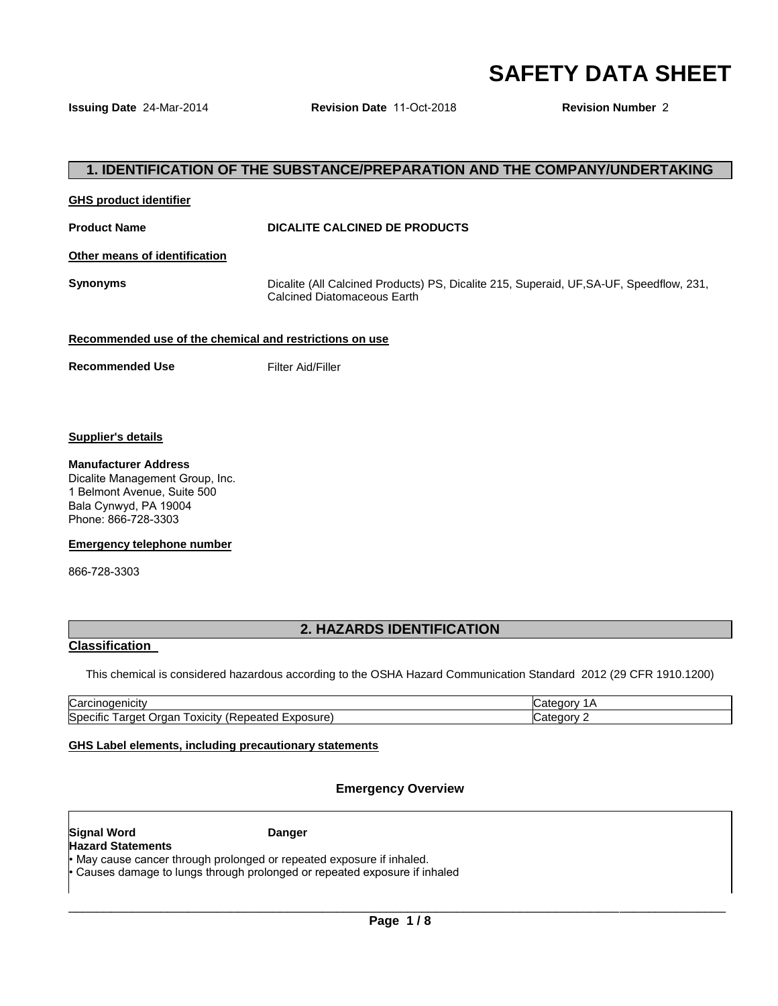# **SAFETY DATA SHEET**

**Issuing Date** 24-Mar-2014 **Revision Date** 11-Oct-2018 **Revision Number** 2

## **1. IDENTIFICATION OF THE SUBSTANCE/PREPARATION AND THE COMPANY/UNDERTAKING**

#### **GHS product identifier**

#### **Product Name CONSERVING DICALITE CALCINED DE PRODUCTS**

**Other means of identification**

**Synonyms** Dicalite (All Calcined Products) PS, Dicalite 215, Superaid, UF,SA-UF, Speedflow, 231, Calcined Diatomaceous Earth

#### **Recommended use of the chemical and restrictions on use**

**Recommended Use Filter Aid/Filler** 

#### **Supplier's details**

#### **Manufacturer Address**

Dicalite Management Group, Inc. 1 Belmont Avenue, Suite 500 Bala Cynwyd, PA 19004 Phone: 866-728-3303

#### **Emergency telephone number**

866-728-3303

## **2. HAZARDS IDENTIFICATION**

### **Classification**

This chemical is considered hazardous according to the OSHA Hazard Communication Standard 2012 (29 CFR 1910.1200)

| Carcinogenicity                                                            | `aorv<br>ے:C |
|----------------------------------------------------------------------------|--------------|
| Specific<br>Exposure<br>eated<br>.)raar<br>arget<br>oxicity<br>ene:<br>. . | ∴ategory∶    |

#### **GHS Label elements, including precautionary statements**

### **Emergency Overview**

#### **Signal Word Communist Communist Communist Communist Communist Communist Communist Communist Communist Communist Communist Communist Communist Communist Communist Communist Communist Communist Communist Communist Communist Hazard Statements**

May cause cancer through prolonged or repeated exposure if inhaled. • Causes damage to lungs through prolonged or repeated exposure if inhaled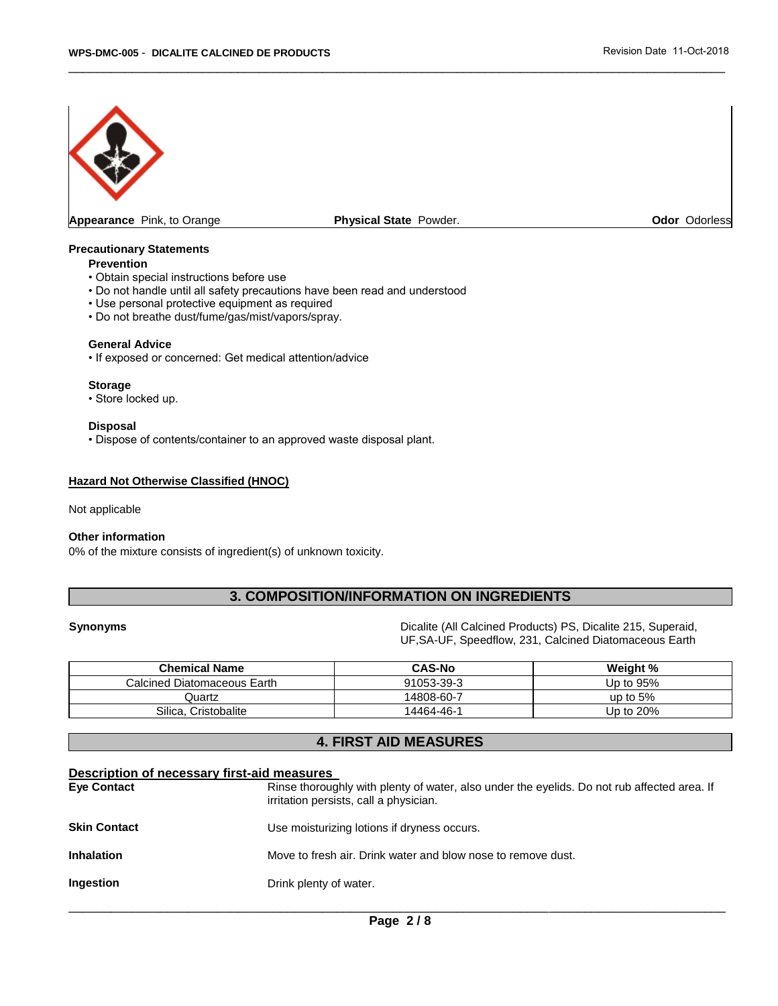

**Appearance** Pink, to Orange **Physical State** Powder. **Odor** Odorless

\_\_\_\_\_\_\_\_\_\_\_\_\_\_\_\_\_\_\_\_\_\_\_\_\_\_\_\_\_\_\_\_\_\_\_\_\_\_\_\_\_\_\_\_\_\_\_\_\_\_\_\_\_\_\_\_\_\_\_\_\_\_\_\_\_\_\_\_\_\_\_\_\_\_\_\_\_\_\_\_\_\_\_\_\_\_\_\_\_\_\_\_\_

#### **Precautionary Statements**

#### **Prevention**

- Obtain special instructions before use
- Do not handle until all safety precautions have been read and understood
- Use personal protective equipment as required
- Do not breathe dust/fume/gas/mist/vapors/spray.

#### **General Advice**

• If exposed or concerned: Get medical attention/advice

#### **Storage**

• Store locked up.

#### **Disposal**

• Dispose of contents/container to an approved waste disposal plant.

#### **Hazard Not Otherwise Classified (HNOC)**

#### Not applicable

#### **Other information**

0% of the mixture consists of ingredient(s) of unknown toxicity.

## **3. COMPOSITION/INFORMATION ON INGREDIENTS**

**Synonyms** Dicalite (All Calcined Products) PS, Dicalite 215, Superaid, UF,SA-UF, Speedflow, 231, Calcined Diatomaceous Earth

| <b>Chemical Name</b>        | <b>CAS-No</b> | Weight %   |
|-----------------------------|---------------|------------|
| Calcined Diatomaceous Earth | 91053-39-3    | Up to 95%  |
| Quartz                      | 14808-60-7    | up to $5%$ |
| Silica. Cristobalite        | 14464-46-1    | Up to 20%  |

## **4. FIRST AID MEASURES**

| Description of necessary first-aid measures |                                                                                                                                       |
|---------------------------------------------|---------------------------------------------------------------------------------------------------------------------------------------|
| <b>Eye Contact</b>                          | Rinse thoroughly with plenty of water, also under the eyelids. Do not rub affected area. If<br>irritation persists, call a physician. |
| <b>Skin Contact</b>                         | Use moisturizing lotions if dryness occurs.                                                                                           |
| <b>Inhalation</b>                           | Move to fresh air. Drink water and blow nose to remove dust.                                                                          |
| <b>Ingestion</b>                            | Drink plenty of water.                                                                                                                |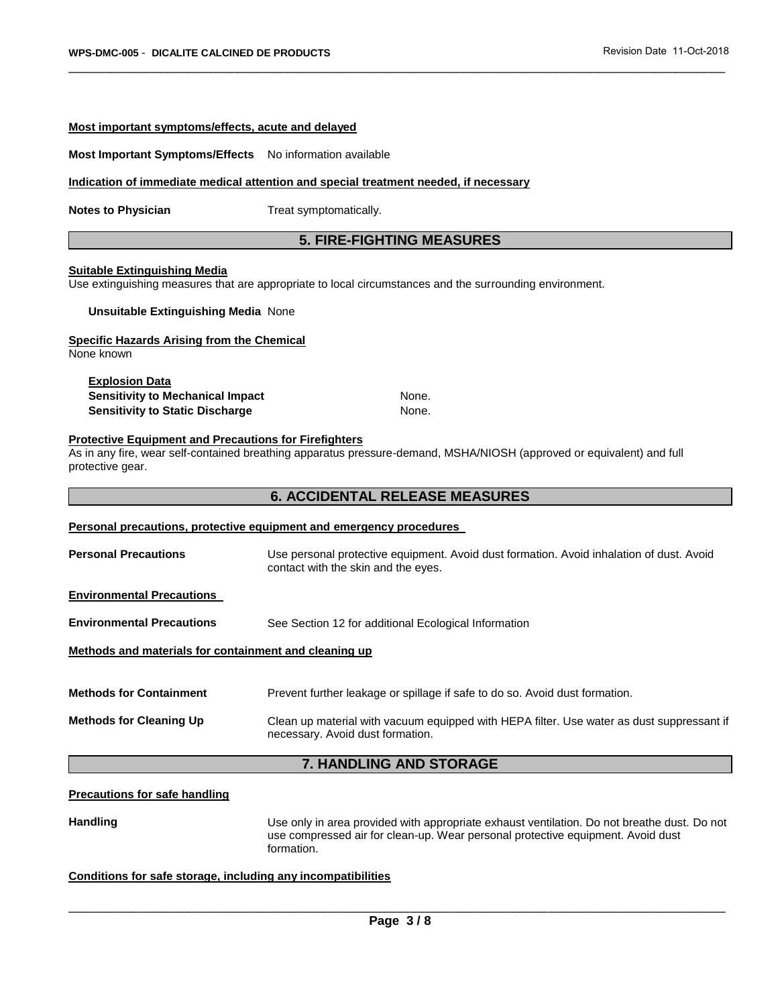#### **Most important symptoms/effects, acute and delayed**

#### **Most Important Symptoms/Effects** No information available

#### **Indication of immediate medical attention and special treatment needed, if necessary**

**Notes to Physician**  Treat symptomatically.

#### **5. FIRE-FIGHTING MEASURES**

\_\_\_\_\_\_\_\_\_\_\_\_\_\_\_\_\_\_\_\_\_\_\_\_\_\_\_\_\_\_\_\_\_\_\_\_\_\_\_\_\_\_\_\_\_\_\_\_\_\_\_\_\_\_\_\_\_\_\_\_\_\_\_\_\_\_\_\_\_\_\_\_\_\_\_\_\_\_\_\_\_\_\_\_\_\_\_\_\_\_\_\_\_

#### **Suitable Extinguishing Media**

Use extinguishing measures that are appropriate to local circumstances and the surrounding environment.

#### **Unsuitable Extinguishing Media** None

#### **Specific Hazards Arising from the Chemical**

None known

## **Explosion Data**

**Sensitivity to Mechanical Impact Mone.** None. **Sensitivity to Static Discharge** None.

## **Protective Equipment and Precautions for Firefighters**

As in any fire, wear self-contained breathing apparatus pressure-demand, MSHA/NIOSH (approved or equivalent) and full protective gear.

### **6. ACCIDENTAL RELEASE MEASURES**

#### **Personal precautions, protective equipment and emergency procedures**

**Personal Precautions** Use personal protective equipment. Avoid dust formation. Avoid inhalation of dust. Avoid contact with the skin and the eyes.

#### **Environmental Precautions**

**Environmental Precautions** See Section 12 for additional Ecological Information

#### **Methods and materials for containment and cleaning up**

**Methods for Containment** Prevent further leakage or spillage if safe to do so. Avoid dust formation. **Methods for Cleaning Up** Clean up material with vacuum equipped with HEPA filter. Use water as dust suppressant if necessary. Avoid dust formation.

### **7. HANDLING AND STORAGE**

#### **Precautions for safe handling**

**Handling** Use only in area provided with appropriate exhaust ventilation. Do not breathe dust. Do not use compressed air for clean-up. Wear personal protective equipment. Avoid dust formation.

#### **Conditions for safe storage, including any incompatibilities**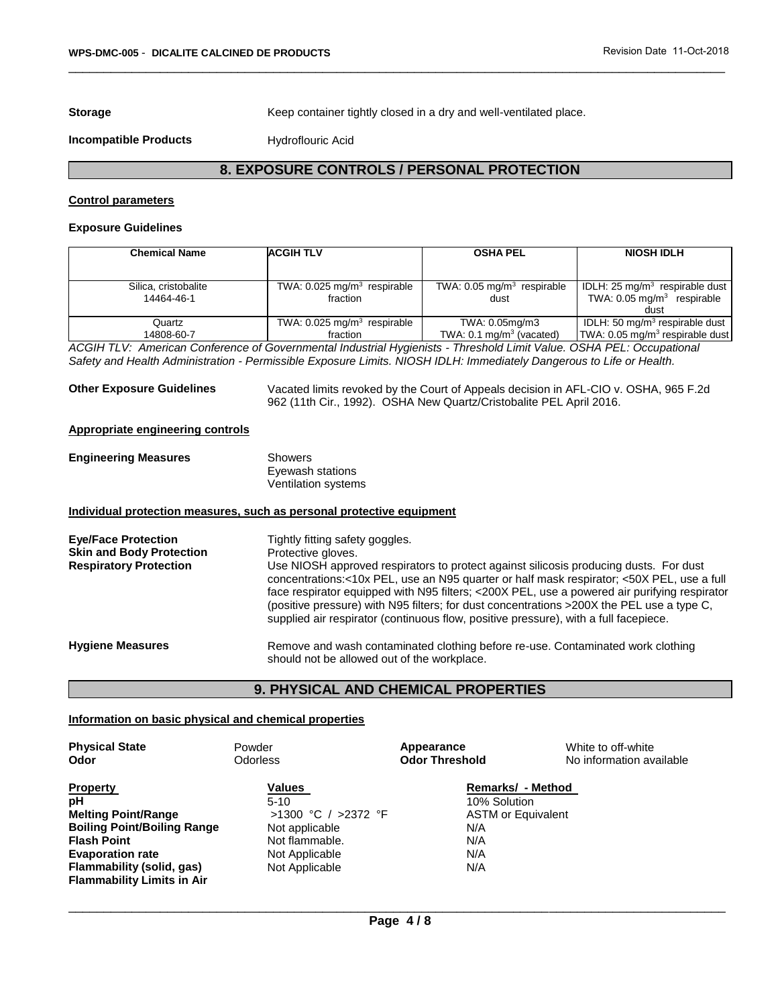**Storage <b>Storage Keep container tightly closed in a dry and well-ventilated place.** 

**Incompatible Products Hydroflouric Acid** 

## **8. EXPOSURE CONTROLS / PERSONAL PROTECTION**

\_\_\_\_\_\_\_\_\_\_\_\_\_\_\_\_\_\_\_\_\_\_\_\_\_\_\_\_\_\_\_\_\_\_\_\_\_\_\_\_\_\_\_\_\_\_\_\_\_\_\_\_\_\_\_\_\_\_\_\_\_\_\_\_\_\_\_\_\_\_\_\_\_\_\_\_\_\_\_\_\_\_\_\_\_\_\_\_\_\_\_\_\_

#### **Control parameters**

#### **Exposure Guidelines**

| <b>Chemical Name</b>               | <b>ACGIH TLV</b>                                      | <b>OSHA PEL</b>                                       | <b>NIOSH IDLH</b>                                                                           |
|------------------------------------|-------------------------------------------------------|-------------------------------------------------------|---------------------------------------------------------------------------------------------|
|                                    |                                                       |                                                       |                                                                                             |
| Silica, cristobalite<br>14464-46-1 | TWA: $0.025$ mg/m <sup>3</sup> respirable<br>fraction | TWA: $0.05 \text{ mg/m}^3$ respirable<br>dust         | IDLH: 25 mg/m <sup>3</sup> respirable dust<br>TWA: $0.05 \text{ mg/m}^3$ respirable<br>dust |
| Quartz<br>14808-60-7               | TWA: $0.025$ mg/m <sup>3</sup> respirable<br>fraction | TWA: 0.05mg/m3<br>TWA: $0.1 \text{ mg/m}^3$ (vacated) | IDLH: 50 mg/m <sup>3</sup> respirable dust<br>TWA: $0.05$ mg/m <sup>3</sup> respirable dust |

*ACGIH TLV: American Conference of Governmental Industrial Hygienists - Threshold Limit Value. OSHA PEL: Occupational Safety and Health Administration - Permissible Exposure Limits. NIOSH IDLH: Immediately Dangerous to Life or Health.* 

**Other Exposure Guidelines** Vacated limits revoked by the Court of Appeals decision in AFL-CIO v. OSHA, 965 F.2d 962 (11th Cir., 1992). OSHA New Quartz/Cristobalite PEL April 2016.

#### **Appropriate engineering controls**

| <b>Engineering Measures</b> | Showers             |
|-----------------------------|---------------------|
|                             | Eyewash stations    |
|                             | Ventilation systems |

#### **Individual protection measures, such as personal protective equipment**

| <b>Eye/Face Protection</b><br><b>Skin and Body Protection</b><br><b>Respiratory Protection</b> | Tightly fitting safety goggles.<br>Protective gloves.<br>Use NIOSH approved respirators to protect against silicosis producing dusts. For dust<br>concentrations:<10x PEL, use an N95 quarter or half mask respirator; <50X PEL, use a full<br>face respirator equipped with N95 filters; <200X PEL, use a powered air purifying respirator<br>(positive pressure) with N95 filters; for dust concentrations > 200X the PEL use a type C,<br>supplied air respirator (continuous flow, positive pressure), with a full facepiece. |
|------------------------------------------------------------------------------------------------|-----------------------------------------------------------------------------------------------------------------------------------------------------------------------------------------------------------------------------------------------------------------------------------------------------------------------------------------------------------------------------------------------------------------------------------------------------------------------------------------------------------------------------------|
| <b>Hygiene Measures</b>                                                                        | Remove and wash contaminated clothing before re-use. Contaminated work clothing<br>should not be allowed out of the workplace.                                                                                                                                                                                                                                                                                                                                                                                                    |

#### **9. PHYSICAL AND CHEMICAL PROPERTIES**

#### **Information on basic physical and chemical properties**

| <b>Physical State</b><br>Odor      | Powder<br><b>Odorless</b> | Appearance<br><b>Odor Threshold</b> | White to off-white<br>No information available |
|------------------------------------|---------------------------|-------------------------------------|------------------------------------------------|
| <b>Property</b>                    | <b>Values</b>             | Remarks/ - Method                   |                                                |
| рH                                 | $5-10$                    | 10% Solution                        |                                                |
| <b>Melting Point/Range</b>         | >1300 °C / >2372 °F       | <b>ASTM or Equivalent</b>           |                                                |
| <b>Boiling Point/Boiling Range</b> | Not applicable            | N/A                                 |                                                |
| <b>Flash Point</b>                 | Not flammable.            | N/A                                 |                                                |
| <b>Evaporation rate</b>            | Not Applicable            | N/A                                 |                                                |
| Flammability (solid, gas)          | Not Applicable            | N/A                                 |                                                |
| <b>Flammability Limits in Air</b>  |                           |                                     |                                                |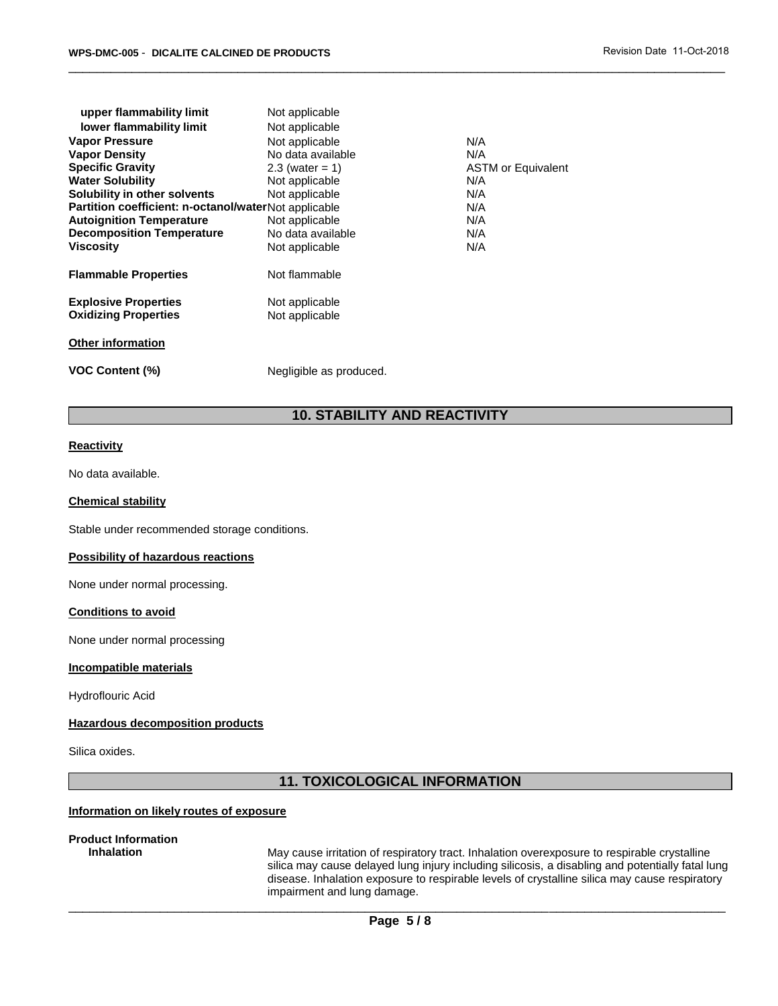| upper flammability limit                                   | Not applicable                   |                           |
|------------------------------------------------------------|----------------------------------|---------------------------|
| lower flammability limit                                   | Not applicable                   |                           |
| <b>Vapor Pressure</b>                                      | Not applicable                   | N/A                       |
| <b>Vapor Density</b>                                       | No data available                | N/A                       |
| <b>Specific Gravity</b>                                    | $2.3$ (water = 1)                | <b>ASTM or Equivalent</b> |
| <b>Water Solubility</b>                                    | Not applicable                   | N/A                       |
| Solubility in other solvents                               | Not applicable                   | N/A                       |
| Partition coefficient: n-octanol/waterNot applicable       |                                  | N/A                       |
| <b>Autoignition Temperature</b>                            | Not applicable                   | N/A                       |
| <b>Decomposition Temperature</b>                           | No data available                | N/A                       |
| Viscosity                                                  | Not applicable                   | N/A                       |
| <b>Flammable Properties</b>                                | Not flammable                    |                           |
| <b>Explosive Properties</b><br><b>Oxidizing Properties</b> | Not applicable<br>Not applicable |                           |
| <b>Other information</b>                                   |                                  |                           |
| <b>VOC Content (%)</b>                                     | Negligible as produced.          |                           |

## **10. STABILITY AND REACTIVITY**

\_\_\_\_\_\_\_\_\_\_\_\_\_\_\_\_\_\_\_\_\_\_\_\_\_\_\_\_\_\_\_\_\_\_\_\_\_\_\_\_\_\_\_\_\_\_\_\_\_\_\_\_\_\_\_\_\_\_\_\_\_\_\_\_\_\_\_\_\_\_\_\_\_\_\_\_\_\_\_\_\_\_\_\_\_\_\_\_\_\_\_\_\_

#### **Reactivity**

No data available.

#### **Chemical stability**

Stable under recommended storage conditions.

#### **Possibility of hazardous reactions**

None under normal processing.

#### **Conditions to avoid**

None under normal processing

#### **Incompatible materials**

Hydroflouric Acid

#### **Hazardous decomposition products**

Silica oxides.

## **11. TOXICOLOGICAL INFORMATION**

#### **Information on likely routes of exposure**

# **Product Information**

**Inhalation** May cause irritation of respiratory tract. Inhalation overexposure to respirable crystalline silica may cause delayed lung injury including silicosis, a disabling and potentially fatal lung disease. Inhalation exposure to respirable levels of crystalline silica may cause respiratory impairment and lung damage.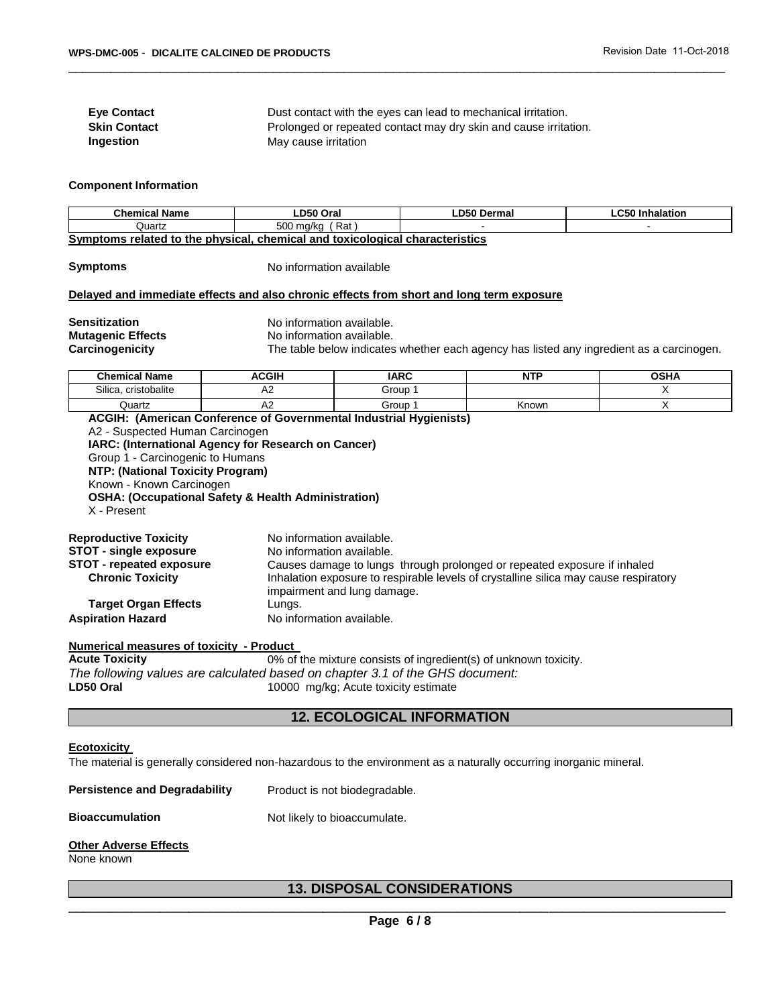**Eye Contact** Dust contact with the eyes can lead to mechanical irritation. **Skin Contact Prolonged or repeated contact may dry skin and cause irritation. Ingestion May cause irritation** 

#### **Component Information**

| <b>Chemical Name</b>                                                         | ∟D50 Oral        | ∟D50 Dermal | ∟C50 Inhalation |
|------------------------------------------------------------------------------|------------------|-------------|-----------------|
| Quartz                                                                       | Rat<br>500 ma/ka |             |                 |
| Symptoms related to the physical, chemical and toxicological characteristics |                  |             |                 |

\_\_\_\_\_\_\_\_\_\_\_\_\_\_\_\_\_\_\_\_\_\_\_\_\_\_\_\_\_\_\_\_\_\_\_\_\_\_\_\_\_\_\_\_\_\_\_\_\_\_\_\_\_\_\_\_\_\_\_\_\_\_\_\_\_\_\_\_\_\_\_\_\_\_\_\_\_\_\_\_\_\_\_\_\_\_\_\_\_\_\_\_\_

**Symptoms** No information available

#### **Delayed and immediate effects and also chronic effects from short and long term exposure**

**Mutagenic Effects No information available.**<br> **Carcinogenicity** The table below indicates

**Sensitization** No information available.

The table below indicates whether each agency has listed any ingredient as a carcinogen.

| <b>Chemical Name</b>             | <b>ACGIH</b> | <b>IARC</b> | NT'   | <b>OCUA</b> |
|----------------------------------|--------------|-------------|-------|-------------|
| $\sim$<br>ilicaہ<br>cristobalite | ∼            | Group       |       |             |
| Quartz                           | ്            | Group       | Known |             |

**ACGIH: (American Conference of Governmental Industrial Hygienists)** A2 - Suspected Human Carcinogen **IARC: (International Agency for Research on Cancer)** Group 1 - Carcinogenic to Humans **NTP: (National Toxicity Program)** Known - Known Carcinogen **OSHA: (Occupational Safety & Health Administration)** X - Present

| <b>Reproductive Toxicity</b>    | No information available.                                                                                           |
|---------------------------------|---------------------------------------------------------------------------------------------------------------------|
| <b>STOT - single exposure</b>   | No information available.                                                                                           |
| <b>STOT - repeated exposure</b> | Causes damage to lungs through prolonged or repeated exposure if inhaled                                            |
| <b>Chronic Toxicity</b>         | Inhalation exposure to respirable levels of crystalline silica may cause respiratory<br>impairment and lung damage. |
| <b>Target Organ Effects</b>     | Lungs.                                                                                                              |
| <b>Aspiration Hazard</b>        | No information available.                                                                                           |

**Numerical measures of toxicity - Product** 

**Acute Toxicity** 0% of the mixture consists of ingredient(s) of unknown toxicity. *The following values are calculated based on chapter 3.1 of the GHS document:*  LD50 Oral **LD50 Oral 20000 Mg/kg**; Acute toxicity estimate

## **12. ECOLOGICAL INFORMATION**

#### **Ecotoxicity**

The material is generally considered non-hazardous to the environment as a naturally occurring inorganic mineral.

| Product is not biodegradable. |
|-------------------------------|
|                               |

## **Bioaccumulation** Not likely to bioaccumulate.

#### **Other Adverse Effects**

None known

## **13. DISPOSAL CONSIDERATIONS**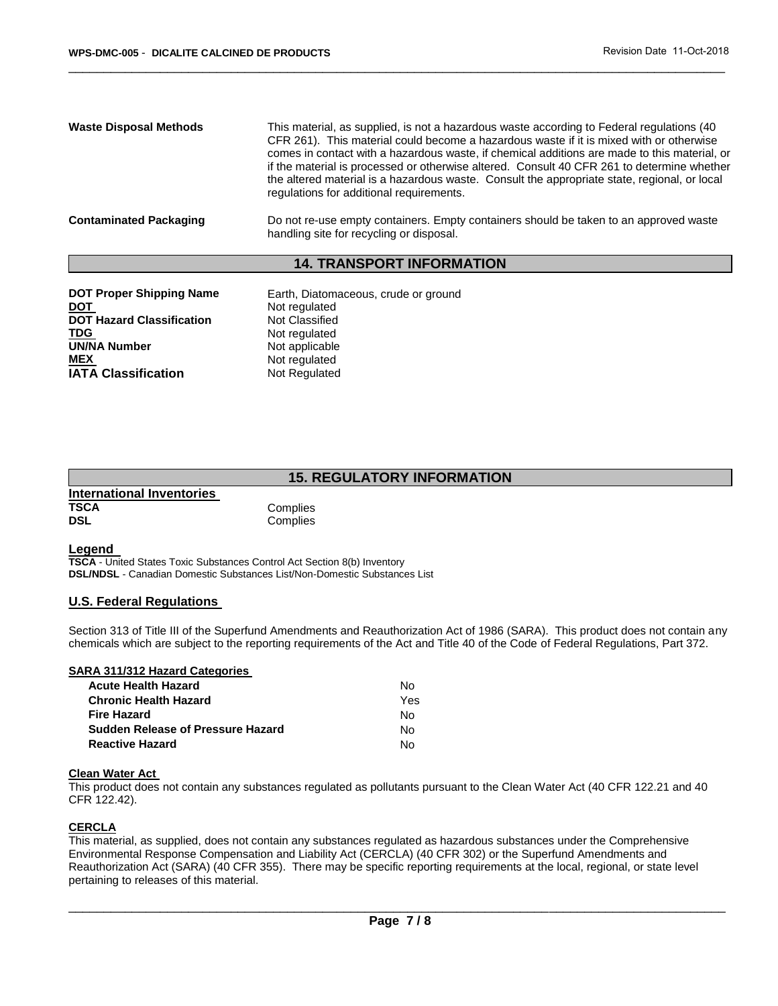| <b>Waste Disposal Methods</b> | This material, as supplied, is not a hazardous waste according to Federal regulations (40<br>CFR 261). This material could become a hazardous waste if it is mixed with or otherwise<br>comes in contact with a hazardous waste, if chemical additions are made to this material, or<br>if the material is processed or otherwise altered. Consult 40 CFR 261 to determine whether<br>the altered material is a hazardous waste. Consult the appropriate state, regional, or local<br>regulations for additional requirements. |
|-------------------------------|--------------------------------------------------------------------------------------------------------------------------------------------------------------------------------------------------------------------------------------------------------------------------------------------------------------------------------------------------------------------------------------------------------------------------------------------------------------------------------------------------------------------------------|
| <b>Contaminated Packaging</b> | Do not re-use empty containers. Empty containers should be taken to an approved waste<br>handling site for recycling or disposal.                                                                                                                                                                                                                                                                                                                                                                                              |

\_\_\_\_\_\_\_\_\_\_\_\_\_\_\_\_\_\_\_\_\_\_\_\_\_\_\_\_\_\_\_\_\_\_\_\_\_\_\_\_\_\_\_\_\_\_\_\_\_\_\_\_\_\_\_\_\_\_\_\_\_\_\_\_\_\_\_\_\_\_\_\_\_\_\_\_\_\_\_\_\_\_\_\_\_\_\_\_\_\_\_\_\_

#### **14. TRANSPORT INFORMATION**

| <b>DOT Proper Shipping Name</b>  | Earth, Diatomaceous, crude or ground |
|----------------------------------|--------------------------------------|
| <b>DOT</b>                       | Not regulated                        |
| <b>DOT Hazard Classification</b> | Not Classified                       |
| <b>TDG</b>                       | Not regulated                        |
| <b>UN/NA Number</b>              | Not applicable                       |
| <b>MEX</b>                       | Not regulated                        |
| <b>IATA Classification</b>       | Not Regulated                        |
|                                  |                                      |

## **15. REGULATORY INFORMATION**

| International Inventories |  |
|---------------------------|--|
| <b>TSCA</b>               |  |
| <b>DSL</b>                |  |

**Complies Complies** 

#### **Legend**

**TSCA** - United States Toxic Substances Control Act Section 8(b) Inventory **DSL/NDSL** - Canadian Domestic Substances List/Non-Domestic Substances List

#### **U.S. Federal Regulations**

Section 313 of Title III of the Superfund Amendments and Reauthorization Act of 1986 (SARA). This product does not contain any chemicals which are subject to the reporting requirements of the Act and Title 40 of the Code of Federal Regulations, Part 372.

#### **SARA 311/312 Hazard Categories**

| <b>Acute Health Hazard</b>               | N٥  |
|------------------------------------------|-----|
| <b>Chronic Health Hazard</b>             | Yes |
| <b>Fire Hazard</b>                       | N٥  |
| <b>Sudden Release of Pressure Hazard</b> | N٥  |
| <b>Reactive Hazard</b>                   | N٥  |

#### **Clean Water Act**

This product does not contain any substances regulated as pollutants pursuant to the Clean Water Act (40 CFR 122.21 and 40 CFR 122.42).

#### **CERCLA**

This material, as supplied, does not contain any substances regulated as hazardous substances under the Comprehensive Environmental Response Compensation and Liability Act (CERCLA) (40 CFR 302) or the Superfund Amendments and Reauthorization Act (SARA) (40 CFR 355). There may be specific reporting requirements at the local, regional, or state level pertaining to releases of this material.